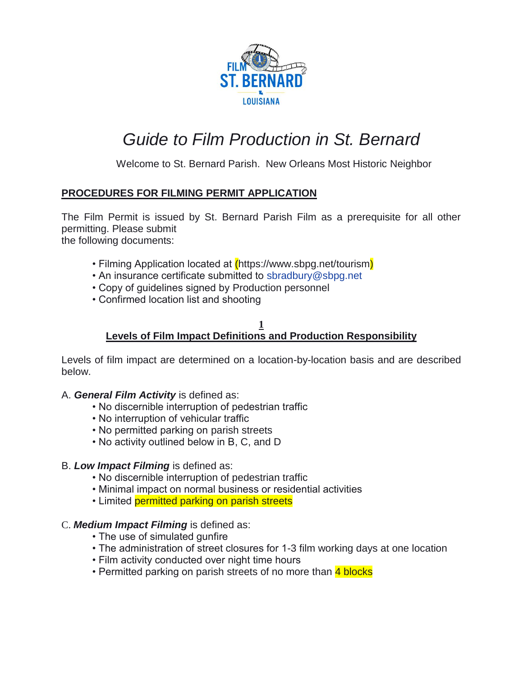

# *Guide to Film Production in St. Bernard*

Welcome to St. Bernard Parish. New Orleans Most Historic Neighbor

# **PROCEDURES FOR FILMING PERMIT APPLICATION**

The Film Permit is issued by St. Bernard Parish Film as a prerequisite for all other permitting. Please submit the following documents:

• Filming Application located at *(https://www.sbpg.net/tourism)* 

- An insurance certificate submitted to sbradbury@sbpg.net
- Copy of guidelines signed by Production personnel
- Confirmed location list and shooting

#### **1 Levels of Film Impact Definitions and Production Responsibility**

Levels of film impact are determined on a location-by-location basis and are described below.

## A. *General Film Activity* is defined as:

- No discernible interruption of pedestrian traffic
- No interruption of vehicular traffic
- No permitted parking on parish streets
- No activity outlined below in B, C, and D

## B. *Low Impact Filming* is defined as:

- No discernible interruption of pedestrian traffic
- Minimal impact on normal business or residential activities
- Limited permitted parking on parish streets

## C. *Medium Impact Filming* is defined as:

- The use of simulated gunfire
- The administration of street closures for 1-3 film working days at one location
- Film activity conducted over night time hours
- Permitted parking on parish streets of no more than 4 blocks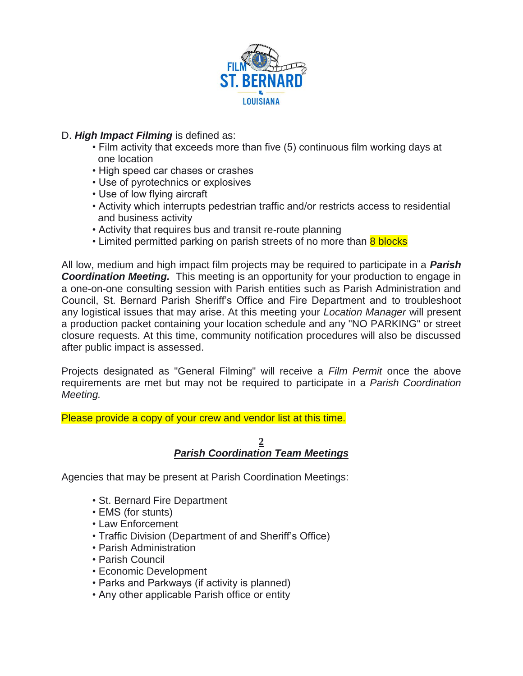

# D. *High Impact Filming* is defined as:

- Film activity that exceeds more than five (5) continuous film working days at one location
- High speed car chases or crashes
- Use of pyrotechnics or explosives
- Use of low flying aircraft
- Activity which interrupts pedestrian traffic and/or restricts access to residential and business activity
- Activity that requires bus and transit re-route planning
- Limited permitted parking on parish streets of no more than 8 blocks

All low, medium and high impact film projects may be required to participate in a *Parish*  **Coordination Meeting.** This meeting is an opportunity for your production to engage in a one-on-one consulting session with Parish entities such as Parish Administration and Council, St. Bernard Parish Sheriff's Office and Fire Department and to troubleshoot any logistical issues that may arise. At this meeting your *Location Manager* will present a production packet containing your location schedule and any "NO PARKING" or street closure requests. At this time, community notification procedures will also be discussed after public impact is assessed.

Projects designated as "General Filming" will receive a *Film Permit* once the above requirements are met but may not be required to participate in a *Parish Coordination Meeting.* 

Please provide a copy of your crew and vendor list at this time.

## **2** *Parish Coordination Team Meetings*

Agencies that may be present at Parish Coordination Meetings:

- St. Bernard Fire Department
- EMS (for stunts)
- Law Enforcement
- Traffic Division (Department of and Sheriff's Office)
- Parish Administration
- Parish Council
- Economic Development
- Parks and Parkways (if activity is planned)
- Any other applicable Parish office or entity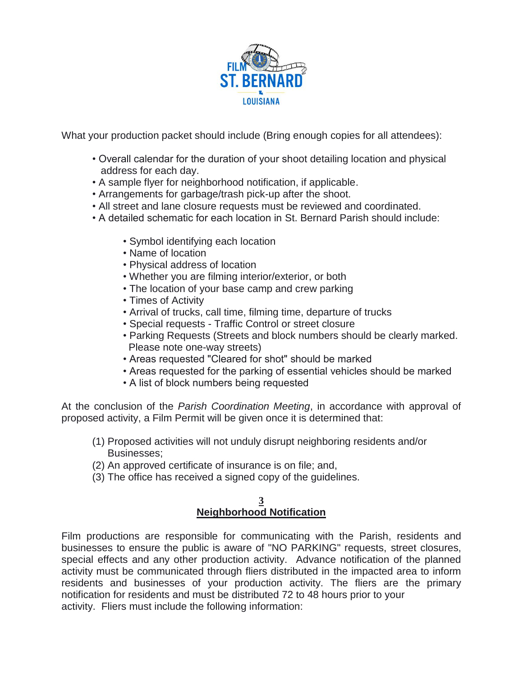

What your production packet should include (Bring enough copies for all attendees):

- Overall calendar for the duration of your shoot detailing location and physical address for each day.
- A sample flyer for neighborhood notification, if applicable.
- Arrangements for garbage/trash pick-up after the shoot.
- All street and lane closure requests must be reviewed and coordinated.
- A detailed schematic for each location in St. Bernard Parish should include:
	- Symbol identifying each location
	- Name of location
	- Physical address of location
	- Whether you are filming interior/exterior, or both
	- The location of your base camp and crew parking
	- Times of Activity
	- Arrival of trucks, call time, filming time, departure of trucks
	- Special requests Traffic Control or street closure
	- Parking Requests (Streets and block numbers should be clearly marked. Please note one-way streets)
	- Areas requested "Cleared for shot" should be marked
	- Areas requested for the parking of essential vehicles should be marked
	- A list of block numbers being requested

At the conclusion of the *Parish Coordination Meeting*, in accordance with approval of proposed activity, a Film Permit will be given once it is determined that:

- (1) Proposed activities will not unduly disrupt neighboring residents and/or Businesses;
- (2) An approved certificate of insurance is on file; and,
- (3) The office has received a signed copy of the guidelines.

#### **3 Neighborhood Notification**

Film productions are responsible for communicating with the Parish, residents and businesses to ensure the public is aware of "NO PARKING" requests, street closures, special effects and any other production activity. Advance notification of the planned activity must be communicated through fliers distributed in the impacted area to inform residents and businesses of your production activity. The fliers are the primary notification for residents and must be distributed 72 to 48 hours prior to your activity. Fliers must include the following information: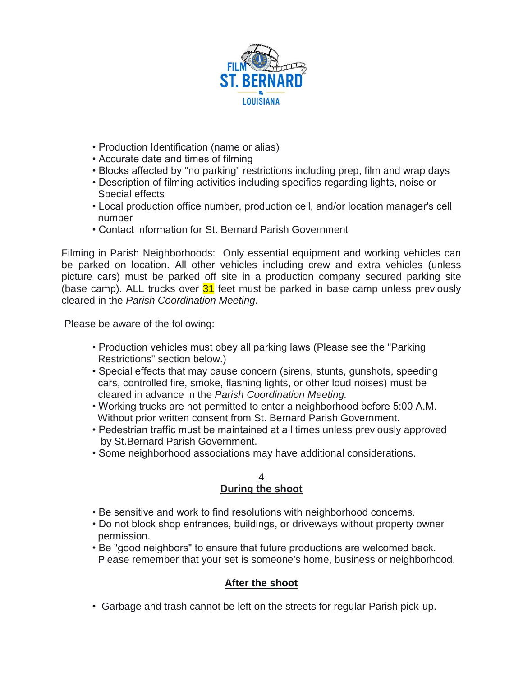

- Production Identification (name or alias)
- Accurate date and times of filming
- Blocks affected by "no parking" restrictions including prep, film and wrap days
- Description of filming activities including specifics regarding lights, noise or Special effects
- Local production office number, production cell, and/or location manager's cell number
- Contact information for St. Bernard Parish Government

Filming in Parish Neighborhoods: Only essential equipment and working vehicles can be parked on location. All other vehicles including crew and extra vehicles (unless picture cars) must be parked off site in a production company secured parking site (base camp). ALL trucks over  $31$  feet must be parked in base camp unless previously cleared in the *Parish Coordination Meeting*.

Please be aware of the following:

- Production vehicles must obey all parking laws (Please see the "Parking Restrictions" section below.)
- Special effects that may cause concern (sirens, stunts, gunshots, speeding cars, controlled fire, smoke, flashing lights, or other loud noises) must be cleared in advance in the *Parish Coordination Meeting.*
- Working trucks are not permitted to enter a neighborhood before 5:00 A.M. Without prior written consent from St. Bernard Parish Government.
- Pedestrian traffic must be maintained at all times unless previously approved by St.Bernard Parish Government.
- Some neighborhood associations may have additional considerations.

#### 4 **During the shoot**

- Be sensitive and work to find resolutions with neighborhood concerns.
- Do not block shop entrances, buildings, or driveways without property owner permission.
- Be "good neighbors" to ensure that future productions are welcomed back. Please remember that your set is someone's home, business or neighborhood.

# **After the shoot**

• Garbage and trash cannot be left on the streets for regular Parish pick-up.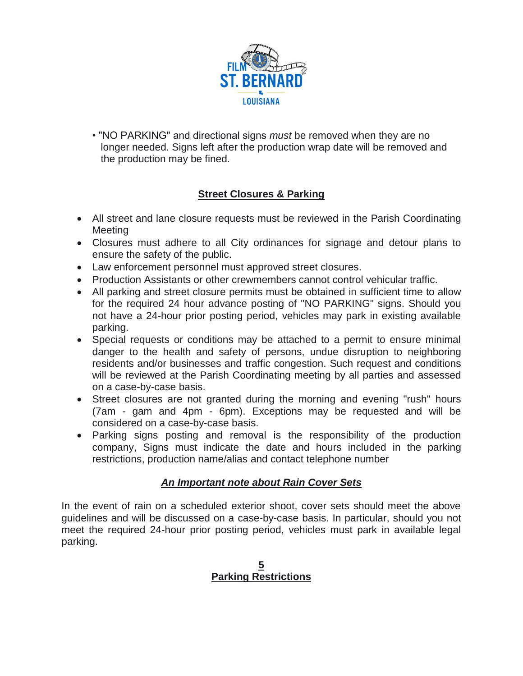

• "NO PARKING" and directional signs *must* be removed when they are no longer needed. Signs left after the production wrap date will be removed and the production may be fined.

# **Street Closures & Parking**

- All street and lane closure requests must be reviewed in the Parish Coordinating Meeting
- Closures must adhere to all City ordinances for signage and detour plans to ensure the safety of the public.
- Law enforcement personnel must approved street closures.
- Production Assistants or other crewmembers cannot control vehicular traffic.
- All parking and street closure permits must be obtained in sufficient time to allow for the required 24 hour advance posting of "NO PARKING" signs. Should you not have a 24-hour prior posting period, vehicles may park in existing available parking.
- Special requests or conditions may be attached to a permit to ensure minimal danger to the health and safety of persons, undue disruption to neighboring residents and/or businesses and traffic congestion. Such request and conditions will be reviewed at the Parish Coordinating meeting by all parties and assessed on a case-by-case basis.
- Street closures are not granted during the morning and evening "rush" hours (7am - gam and 4pm - 6pm). Exceptions may be requested and will be considered on a case-by-case basis.
- Parking signs posting and removal is the responsibility of the production company, Signs must indicate the date and hours included in the parking restrictions, production name/alias and contact telephone number

# *An Important note about Rain Cover Sets*

In the event of rain on a scheduled exterior shoot, cover sets should meet the above guidelines and will be discussed on a case-by-case basis. In particular, should you not meet the required 24-hour prior posting period, vehicles must park in available legal parking.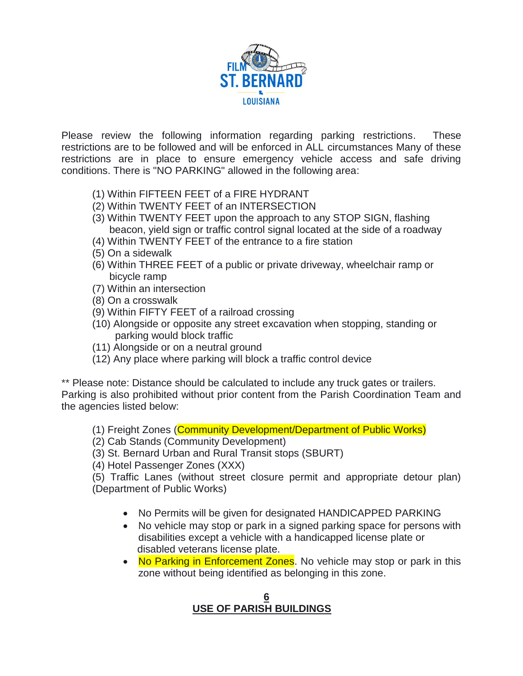

Please review the following information regarding parking restrictions. These restrictions are to be followed and will be enforced in ALL circumstances Many of these restrictions are in place to ensure emergency vehicle access and safe driving conditions. There is "NO PARKING" allowed in the following area:

- (1) Within FIFTEEN FEET of a FIRE HYDRANT
- (2) Within TWENTY FEET of an INTERSECTION
- (3) Within TWENTY FEET upon the approach to any STOP SIGN, flashing beacon, yield sign or traffic control signal located at the side of a roadway
- (4) Within TWENTY FEET of the entrance to a fire station
- (5) On a sidewalk
- (6) Within THREE FEET of a public or private driveway, wheelchair ramp or bicycle ramp
- (7) Within an intersection
- (8) On a crosswalk
- (9) Within FIFTY FEET of a railroad crossing
- (10) Alongside or opposite any street excavation when stopping, standing or parking would block traffic
- (11) Alongside or on a neutral ground
- (12) Any place where parking will block a traffic control device

\*\* Please note: Distance should be calculated to include any truck gates or trailers. Parking is also prohibited without prior content from the Parish Coordination Team and the agencies listed below:

- (1) Freight Zones (Community Development/Department of Public Works)
- (2) Cab Stands (Community Development)

(3) St. Bernard Urban and Rural Transit stops (SBURT)

(4) Hotel Passenger Zones (XXX)

(5) Traffic Lanes (without street closure permit and appropriate detour plan) (Department of Public Works)

- No Permits will be given for designated HANDICAPPED PARKING
- No vehicle may stop or park in a signed parking space for persons with disabilities except a vehicle with a handicapped license plate or disabled veterans license plate.
- No Parking in Enforcement Zones. No vehicle may stop or park in this zone without being identified as belonging in this zone.

## **6 6 6 6 6 6 6 6 USE OF PARISH BUILDINGS**